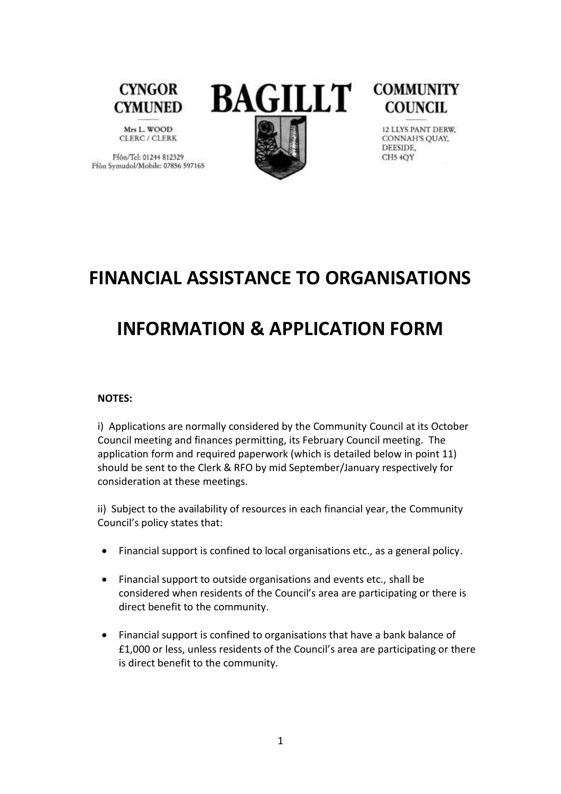

Mrs L. WOOD CLERC / CLERK

Ffân/Tel: 01244 812329 Ffôn Symudol/Mobile: 07856 597165





12 LLYS PANT DERW, CONNAH'S QUAY, DEESIDE, CH5 4OY

## **FINANCIAL ASSISTANCE TO ORGANISATIONS**

# **INFORMATION & APPLICATION FORM**

#### **NOTES:**

i) Applications are normally considered by the Community Council at its October Council meeting and finances permitting, its February Council meeting. The application form and required paperwork (which is detailed below in point 11) should be sent to the Clerk & RFO by mid September/January respectively for consideration at these meetings.

ii) Subject to the availability of resources in each financial year, the Community Council's policy states that:

- Financial support is confined to local organisations etc., as a general policy.
- Financial support to outside organisations and events etc., shall be considered when residents of the Council's area are participating or there is direct benefit to the community.
- Financial support is confined to organisations that have a bank balance of £1,000 or less, unless residents of the Council's area are participating or there is direct benefit to the community.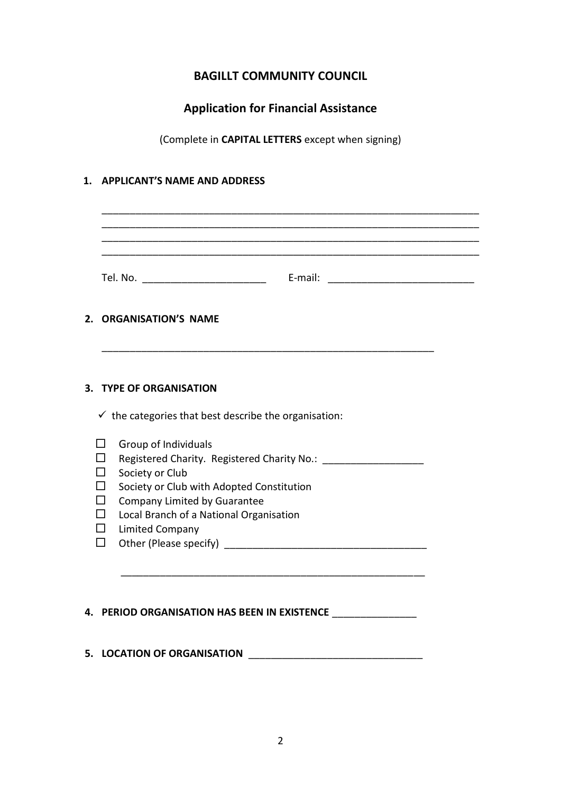### **BAGILLT COMMUNITY COUNCIL**

## **Application for Financial Assistance**

(Complete in **CAPITAL LETTERS** except when signing)

#### **1. APPLICANT'S NAME AND ADDRESS**

|                   | 2. ORGANISATION'S NAME                                           |  |
|-------------------|------------------------------------------------------------------|--|
|                   |                                                                  |  |
|                   | 3. TYPE OF ORGANISATION                                          |  |
|                   | $\checkmark$ the categories that best describe the organisation: |  |
|                   | Group of Individuals                                             |  |
|                   |                                                                  |  |
| ΙI<br>□           | Society or Club<br>Society or Club with Adopted Constitution     |  |
| П                 | Company Limited by Guarantee                                     |  |
| П                 | Local Branch of a National Organisation                          |  |
| $\mathsf{L}$<br>П | <b>Limited Company</b>                                           |  |
|                   |                                                                  |  |

**5. LOCATION OF ORGANISATION** \_\_\_\_\_\_\_\_\_\_\_\_\_\_\_\_\_\_\_\_\_\_\_\_\_\_\_\_\_\_\_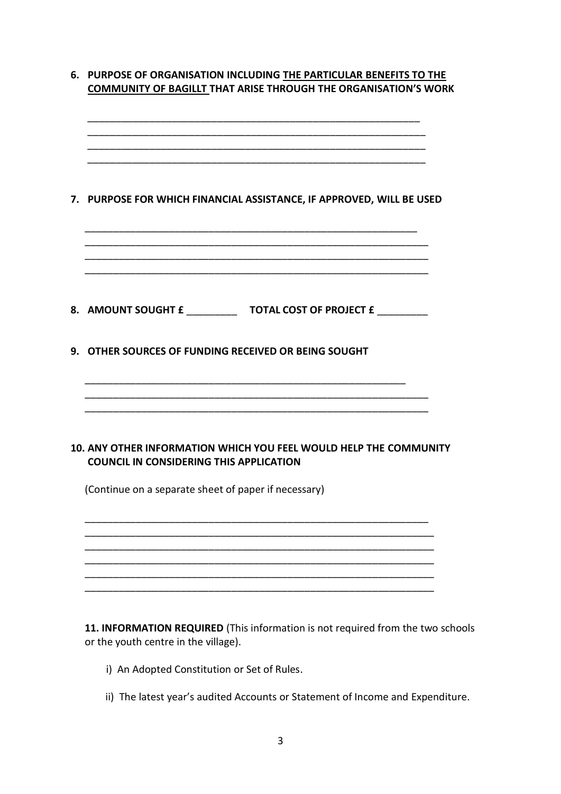| 7. PURPOSE FOR WHICH FINANCIAL ASSISTANCE, IF APPROVED, WILL BE USED                                                |
|---------------------------------------------------------------------------------------------------------------------|
| 8. AMOUNT SOUGHT £ _________________ TOTAL COST OF PROJECT £ ___________                                            |
| 9. OTHER SOURCES OF FUNDING RECEIVED OR BEING SOUGHT                                                                |
| 10. ANY OTHER INFORMATION WHICH YOU FEEL WOULD HELP THE COMMUNITY<br><b>COUNCIL IN CONSIDERING THIS APPLICATION</b> |
| (Continue on a separate sheet of paper if necessary)                                                                |
|                                                                                                                     |
|                                                                                                                     |

**11. INFORMATION REQUIRED** (This information is not required from the two schools or the youth centre in the village).

- i) An Adopted Constitution or Set of Rules.
- ii) The latest year's audited Accounts or Statement of Income and Expenditure.